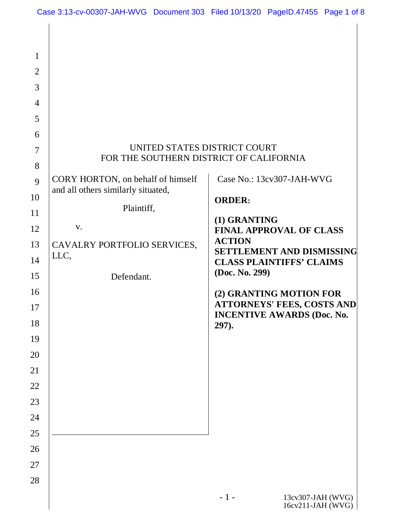| $\mathbf{1}$<br>$\overline{2}$<br>3<br>$\overline{4}$<br>5<br>6<br>7<br>8<br>9<br>10<br>11<br>12<br>13<br>14<br>15<br>16<br>17<br>18<br>19<br>20<br>21<br>22<br>23<br>24<br>25<br>26 | UNITED STATES DISTRICT COURT<br>FOR THE SOUTHERN DISTRICT OF CALIFORNIA<br>CORY HORTON, on behalf of himself<br>and all others similarly situated,<br>Plaintiff,<br>V.<br>CAVALRY PORTFOLIO SERVICES,<br>LLC,<br>Defendant. | Case No.: 13cv307-JAH-WVG<br><b>ORDER:</b><br>(1) GRANTING<br><b>FINAL APPROVAL OF CLASS</b><br><b>ACTION</b><br><b>SETTLEMENT AND DISMISSING</b><br><b>CLASS PLAINTIFFS' CLAIMS</b><br>(Doc. No. 299)<br>(2) GRANTING MOTION FOR<br><b>ATTORNEYS' FEES, COSTS AND</b><br><b>INCENTIVE AWARDS (Doc. No.</b><br>297). |
|--------------------------------------------------------------------------------------------------------------------------------------------------------------------------------------|-----------------------------------------------------------------------------------------------------------------------------------------------------------------------------------------------------------------------------|----------------------------------------------------------------------------------------------------------------------------------------------------------------------------------------------------------------------------------------------------------------------------------------------------------------------|
| 27<br>28                                                                                                                                                                             |                                                                                                                                                                                                                             | $-1-$<br>13cv307-JAH (WVG)<br>16cv211-JAH (WVG)                                                                                                                                                                                                                                                                      |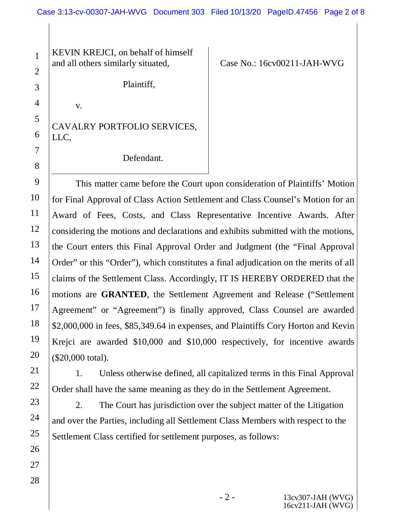KEVIN KREJCI, on behalf of himself and all others similarly situated,

v.

1

2

3

4

5

6

7

8

Case No.: 16cv00211-JAH-WVG

Plaintiff,

CAVALRY PORTFOLIO SERVICES, LLC,

Defendant.

9 10 11 12 13 14 15 16 17 18 19 20 This matter came before the Court upon consideration of Plaintiffs' Motion for Final Approval of Class Action Settlement and Class Counsel's Motion for an Award of Fees, Costs, and Class Representative Incentive Awards. After considering the motions and declarations and exhibits submitted with the motions, the Court enters this Final Approval Order and Judgment (the "Final Approval Order" or this "Order"), which constitutes a final adjudication on the merits of all claims of the Settlement Class. Accordingly, IT IS HEREBY ORDERED that the motions are **GRANTED**, the Settlement Agreement and Release ("Settlement Agreement" or "Agreement") is finally approved, Class Counsel are awarded \$2,000,000 in fees, \$85,349.64 in expenses, and Plaintiffs Cory Horton and Kevin Krejci are awarded \$10,000 and \$10,000 respectively, for incentive awards (\$20,000 total).

1. Unless otherwise defined, all capitalized terms in this Final Approval Order shall have the same meaning as they do in the Settlement Agreement.

2. The Court has jurisdiction over the subject matter of the Litigation and over the Parties, including all Settlement Class Members with respect to the Settlement Class certified for settlement purposes, as follows:

> - 2 - 13cv307-JAH (WVG) 16cv211-JAH (WVG)

28

21

22

23

24

25

26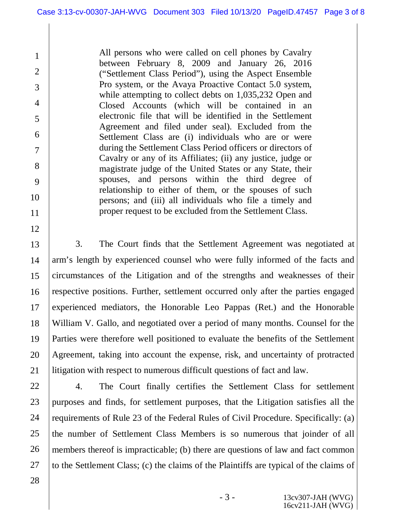All persons who were called on cell phones by Cavalry between February 8, 2009 and January 26, 2016 ("Settlement Class Period"), using the Aspect Ensemble Pro system, or the Avaya Proactive Contact 5.0 system, while attempting to collect debts on 1,035,232 Open and Closed Accounts (which will be contained in an electronic file that will be identified in the Settlement Agreement and filed under seal). Excluded from the Settlement Class are (i) individuals who are or were during the Settlement Class Period officers or directors of Cavalry or any of its Affiliates; (ii) any justice, judge or magistrate judge of the United States or any State, their spouses, and persons within the third degree of relationship to either of them, or the spouses of such persons; and (iii) all individuals who file a timely and proper request to be excluded from the Settlement Class.

13 14 15 16 17 18 19 20 21 3. The Court finds that the Settlement Agreement was negotiated at arm's length by experienced counsel who were fully informed of the facts and circumstances of the Litigation and of the strengths and weaknesses of their respective positions. Further, settlement occurred only after the parties engaged experienced mediators, the Honorable Leo Pappas (Ret.) and the Honorable William V. Gallo, and negotiated over a period of many months. Counsel for the Parties were therefore well positioned to evaluate the benefits of the Settlement Agreement, taking into account the expense, risk, and uncertainty of protracted litigation with respect to numerous difficult questions of fact and law.

22 23 24 25 26 27 4. The Court finally certifies the Settlement Class for settlement purposes and finds, for settlement purposes, that the Litigation satisfies all the requirements of Rule 23 of the Federal Rules of Civil Procedure. Specifically: (a) the number of Settlement Class Members is so numerous that joinder of all members thereof is impracticable; (b) there are questions of law and fact common to the Settlement Class; (c) the claims of the Plaintiffs are typical of the claims of

28

1

2

3

4

5

6

7

8

9

10

11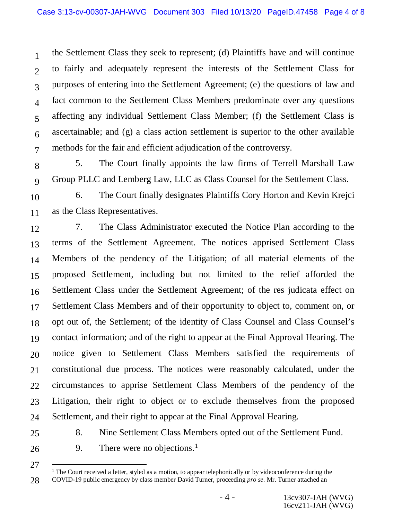1 2 3 4 5 6 7 the Settlement Class they seek to represent; (d) Plaintiffs have and will continue to fairly and adequately represent the interests of the Settlement Class for purposes of entering into the Settlement Agreement; (e) the questions of law and fact common to the Settlement Class Members predominate over any questions affecting any individual Settlement Class Member; (f) the Settlement Class is ascertainable; and (g) a class action settlement is superior to the other available methods for the fair and efficient adjudication of the controversy.

5. The Court finally appoints the law firms of Terrell Marshall Law Group PLLC and Lemberg Law, LLC as Class Counsel for the Settlement Class.

6. The Court finally designates Plaintiffs Cory Horton and Kevin Krejci as the Class Representatives.

12 13 14 15 16 17 18 19 20 21 22 23 24 7. The Class Administrator executed the Notice Plan according to the terms of the Settlement Agreement. The notices apprised Settlement Class Members of the pendency of the Litigation; of all material elements of the proposed Settlement, including but not limited to the relief afforded the Settlement Class under the Settlement Agreement; of the res judicata effect on Settlement Class Members and of their opportunity to object to, comment on, or opt out of, the Settlement; of the identity of Class Counsel and Class Counsel's contact information; and of the right to appear at the Final Approval Hearing. The notice given to Settlement Class Members satisfied the requirements of constitutional due process. The notices were reasonably calculated, under the circumstances to apprise Settlement Class Members of the pendency of the Litigation, their right to object or to exclude themselves from the proposed Settlement, and their right to appear at the Final Approval Hearing.

25

8

9

10

11

26

8. Nine Settlement Class Members opted out of the Settlement Fund.

9. There were no objections. $<sup>1</sup>$ </sup>

 $\overline{a}$  $1$ <sup>1</sup> The Court received a letter, styled as a motion, to appear telephonically or by videoconference during the COVID-19 public emergency by class member David Turner, proceeding *pro se*. Mr. Turner attached an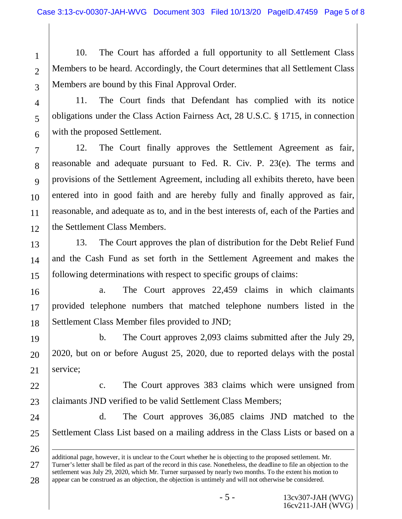10. The Court has afforded a full opportunity to all Settlement Class Members to be heard. Accordingly, the Court determines that all Settlement Class Members are bound by this Final Approval Order.

3 4

5

6

7

8

9

10

11

21

26

1

2

11. The Court finds that Defendant has complied with its notice obligations under the Class Action Fairness Act, 28 U.S.C. § 1715, in connection with the proposed Settlement.

12 12. The Court finally approves the Settlement Agreement as fair, reasonable and adequate pursuant to Fed. R. Civ. P. 23(e). The terms and provisions of the Settlement Agreement, including all exhibits thereto, have been entered into in good faith and are hereby fully and finally approved as fair, reasonable, and adequate as to, and in the best interests of, each of the Parties and the Settlement Class Members.

13 14 15 13. The Court approves the plan of distribution for the Debt Relief Fund and the Cash Fund as set forth in the Settlement Agreement and makes the following determinations with respect to specific groups of claims:

16 17 18 a. The Court approves 22,459 claims in which claimants provided telephone numbers that matched telephone numbers listed in the Settlement Class Member files provided to JND;

19 20 b. The Court approves 2,093 claims submitted after the July 29, 2020, but on or before August 25, 2020, due to reported delays with the postal service;

22 23 c. The Court approves 383 claims which were unsigned from claimants JND verified to be valid Settlement Class Members;

24 25 d. The Court approves 36,085 claims JND matched to the Settlement Class List based on a mailing address in the Class Lists or based on a

27 28 additional page, however, it is unclear to the Court whether he is objecting to the proposed settlement. Mr. Turner's letter shall be filed as part of the record in this case. Nonetheless, the deadline to file an objection to the settlement was July 29, 2020, which Mr. Turner surpassed by nearly two months. To the extent his motion to appear can be construed as an objection, the objection is untimely and will not otherwise be considered.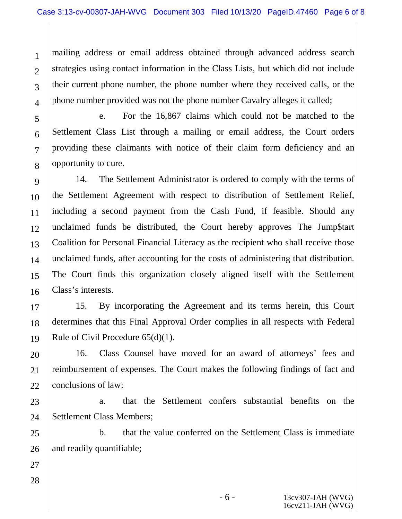1 2 3 4 mailing address or email address obtained through advanced address search strategies using contact information in the Class Lists, but which did not include their current phone number, the phone number where they received calls, or the phone number provided was not the phone number Cavalry alleges it called;

5 6 7 8 e. For the 16,867 claims which could not be matched to the Settlement Class List through a mailing or email address, the Court orders providing these claimants with notice of their claim form deficiency and an opportunity to cure.

9 10 11 12 13 14 15 16 14. The Settlement Administrator is ordered to comply with the terms of the Settlement Agreement with respect to distribution of Settlement Relief, including a second payment from the Cash Fund, if feasible. Should any unclaimed funds be distributed, the Court hereby approves The Jump\$tart Coalition for Personal Financial Literacy as the recipient who shall receive those unclaimed funds, after accounting for the costs of administering that distribution. The Court finds this organization closely aligned itself with the Settlement Class's interests.

17 18 19 15. By incorporating the Agreement and its terms herein, this Court determines that this Final Approval Order complies in all respects with Federal Rule of Civil Procedure 65(d)(1).

20 21 22 16. Class Counsel have moved for an award of attorneys' fees and reimbursement of expenses. The Court makes the following findings of fact and conclusions of law:

23 24 a. that the Settlement confers substantial benefits on the Settlement Class Members;

25 26 b. that the value conferred on the Settlement Class is immediate and readily quantifiable;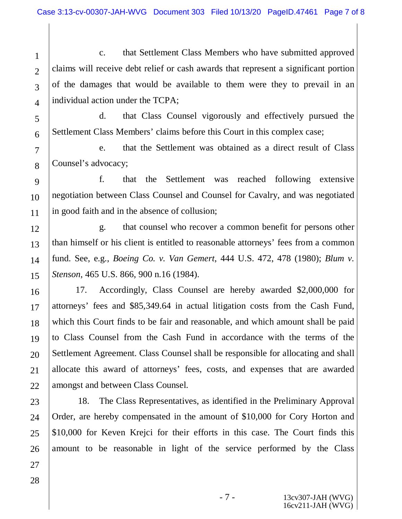1 2 3 4 c. that Settlement Class Members who have submitted approved claims will receive debt relief or cash awards that represent a significant portion of the damages that would be available to them were they to prevail in an individual action under the TCPA;

d. that Class Counsel vigorously and effectively pursued the Settlement Class Members' claims before this Court in this complex case;

7 8 e. that the Settlement was obtained as a direct result of Class Counsel's advocacy;

9 10 11 f. that the Settlement was reached following extensive negotiation between Class Counsel and Counsel for Cavalry, and was negotiated in good faith and in the absence of collusion;

12 13 14 15 g. that counsel who recover a common benefit for persons other than himself or his client is entitled to reasonable attorneys' fees from a common fund. See, e.g., *Boeing Co. v. Van Gemert*, 444 U.S. 472, 478 (1980); *Blum v. Stenson*, 465 U.S. 866, 900 n.16 (1984).

16 17 18 19 20 21 22 17. Accordingly, Class Counsel are hereby awarded \$2,000,000 for attorneys' fees and \$85,349.64 in actual litigation costs from the Cash Fund, which this Court finds to be fair and reasonable, and which amount shall be paid to Class Counsel from the Cash Fund in accordance with the terms of the Settlement Agreement. Class Counsel shall be responsible for allocating and shall allocate this award of attorneys' fees, costs, and expenses that are awarded amongst and between Class Counsel.

23 24 25 26 18. The Class Representatives, as identified in the Preliminary Approval Order, are hereby compensated in the amount of \$10,000 for Cory Horton and \$10,000 for Keven Krejci for their efforts in this case. The Court finds this amount to be reasonable in light of the service performed by the Class

28

27

5